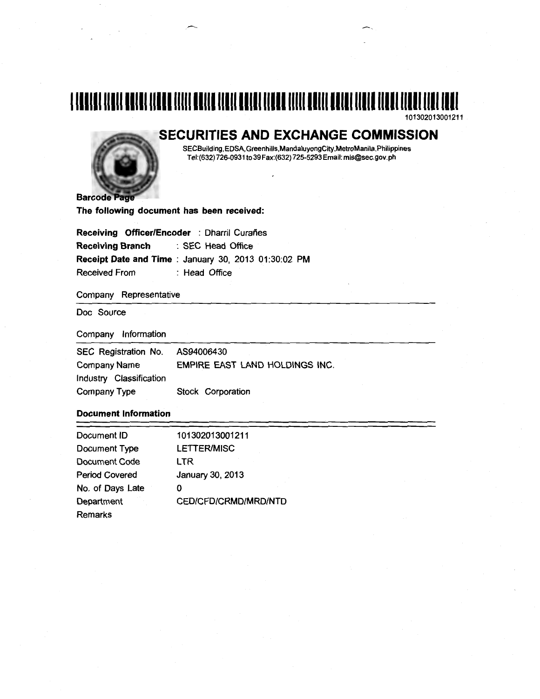## 1111111111111111111111111111111111111111111111111111111111111111111111111111111111111 101302013001211

SECURITIES AND EXCHANGE COMMISSION



SECBuilding,EDSA,Greenhills,MandaluyongCity,MetroManila,Philippines Tel:(632) 726-0931 to 39 Fax:(632) 725-5293 Email: mis@sec.gov.ph

The following document has been received:

Receiving Officer/Encoder : Dharril Curañes Receiving Branch : SEC Head Office Receipt Date and Time : January 30, 2013 01:30:02 PM Received From : Head Office

Company Representative

Doc Source

Company Information

| SEC Registration No.    | AS94006430                     |  |
|-------------------------|--------------------------------|--|
| Company Name            | EMPIRE EAST LAND HOLDINGS INC. |  |
| Industry Classification |                                |  |
| Company Type            | Stock Corporation              |  |

## Document Information

| Document ID           | 101302013001211      |  |
|-----------------------|----------------------|--|
| Document Type         | <b>LETTER/MISC</b>   |  |
| Document Code         | LTR                  |  |
| <b>Period Covered</b> | January 30, 2013     |  |
| No. of Days Late      | 0                    |  |
| Department            | CED/CFD/CRMD/MRD/NTD |  |
| Remarks               |                      |  |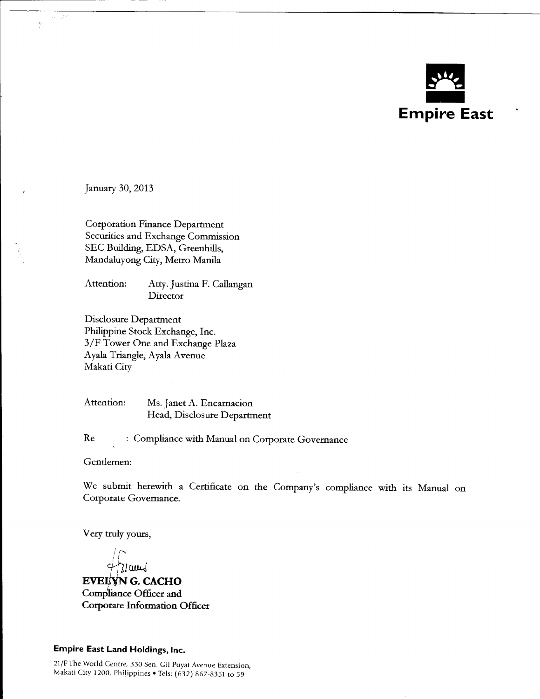

January 30, 2013

ò.  $\sum_{i=1}^{N}$ 

> Corporation Finance Department Securities and Exchange Commission SEC Building, EDSA, Greenhills, Mandaluyong City, Metro Manila

Attention: Atty. Justina F. Callangan **Director** 

Disclosure Department Philippine Stock Exchange, Inc. 3/F Tower One and Exchange Plaza Ayala Triangle, Ayala Avenue Makati City

Attention: Ms. Janet A. Encarnacion Head, Disclosure Department

Re : Compliance with Manual on Corporate Governance

Gendemen:

We submit herewith a Certificate on the Company's compliance with its Manual on Corporate Governance.

Very truly yours,

 $\sqrt{2}$ I I  $Z$ lam $J$ 

**EVELYN G. CACHO** Compliance Officer and Corporate Information Officer

Empire East Land Holdings, Inc.